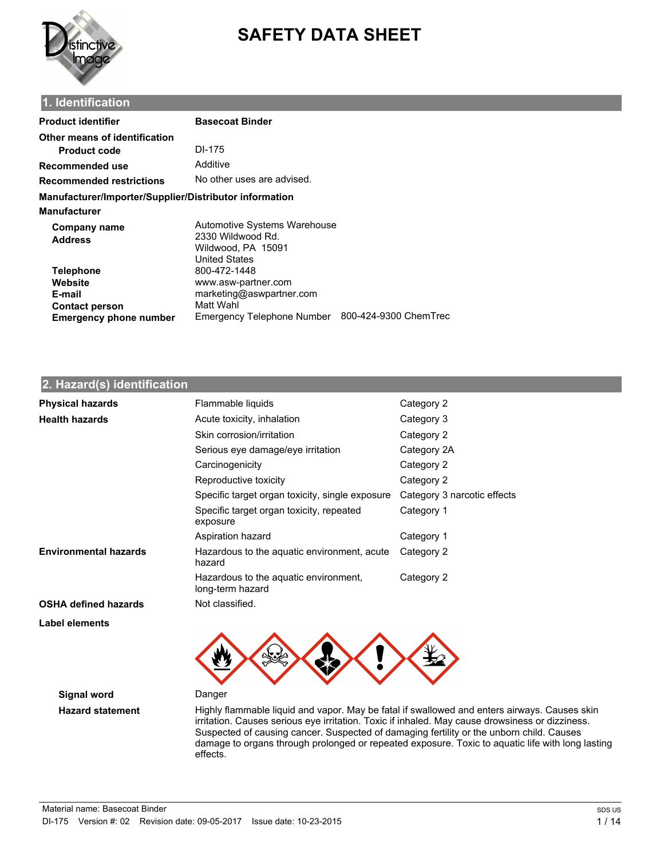

# **SAFETY DATA SHEET**

## **1. Identification**

| <b>Product identifier</b>                                                                       | <b>Basecoat Binder</b>                                                                                     |                       |
|-------------------------------------------------------------------------------------------------|------------------------------------------------------------------------------------------------------------|-----------------------|
| Other means of identification<br><b>Product code</b>                                            | DI-175                                                                                                     |                       |
| Recommended use                                                                                 | Additive                                                                                                   |                       |
| Recommended restrictions                                                                        | No other uses are advised.                                                                                 |                       |
| Manufacturer/Importer/Supplier/Distributor information<br>Manufacturer                          |                                                                                                            |                       |
| <b>Company name</b><br><b>Address</b>                                                           | Automotive Systems Warehouse<br>2330 Wildwood Rd.<br>Wildwood, PA 15091<br><b>United States</b>            |                       |
| <b>Telephone</b><br>Website<br>E-mail<br><b>Contact person</b><br><b>Emergency phone number</b> | 800-472-1448<br>www.asw-partner.com<br>marketing@aswpartner.com<br>Matt Wahl<br>Emergency Telephone Number | 800-424-9300 ChemTrec |

## **2. Hazard(s) identification**

| <b>Physical hazards</b>      | Flammable liquids<br>Category 2                           |                             |
|------------------------------|-----------------------------------------------------------|-----------------------------|
| <b>Health hazards</b>        | Acute toxicity, inhalation                                | Category 3                  |
|                              | Skin corrosion/irritation                                 | Category 2                  |
|                              | Serious eye damage/eye irritation                         | Category 2A                 |
|                              | Carcinogenicity                                           | Category 2                  |
|                              | Reproductive toxicity                                     | Category 2                  |
|                              | Specific target organ toxicity, single exposure           | Category 3 narcotic effects |
|                              | Specific target organ toxicity, repeated<br>exposure      | Category 1                  |
|                              | Aspiration hazard                                         | Category 1                  |
| <b>Environmental hazards</b> | Hazardous to the aquatic environment, acute<br>hazard     | Category 2                  |
|                              | Hazardous to the aguatic environment,<br>long-term hazard | Category 2                  |
| <b>OSHA defined hazards</b>  | Not classified.                                           |                             |
| Label elements               |                                                           |                             |



**Signal word** Danger

Hazard statement **Highly flammable liquid and vapor.** May be fatal if swallowed and enters airways. Causes skin irritation. Causes serious eye irritation. Toxic if inhaled. May cause drowsiness or dizziness. Suspected of causing cancer. Suspected of damaging fertility or the unborn child. Causes damage to organs through prolonged or repeated exposure. Toxic to aquatic life with long lasting effects.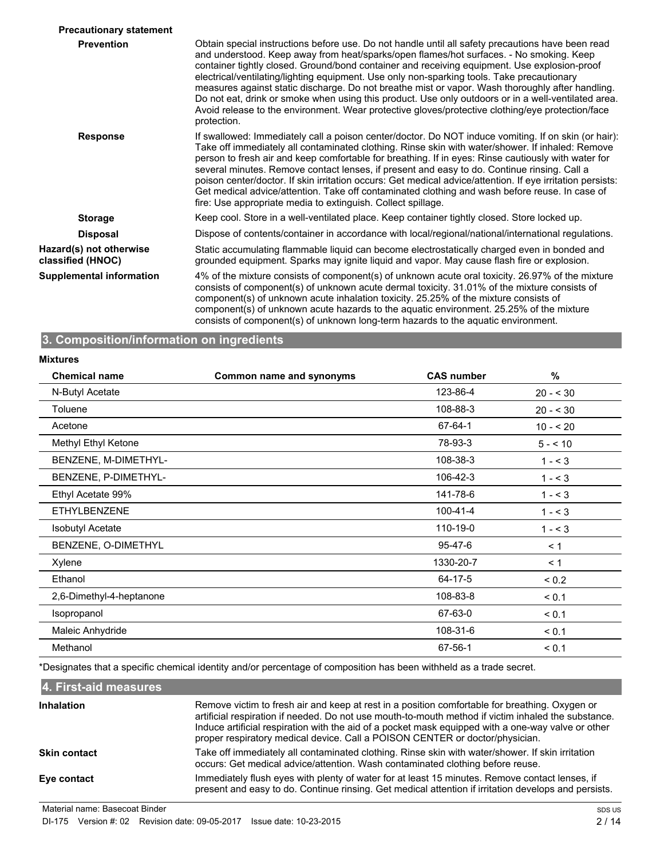| <b>Precautionary statement</b>               |                                                                                                                                                                                                                                                                                                                                                                                                                                                                                                                                                                                                                                                                                                                          |
|----------------------------------------------|--------------------------------------------------------------------------------------------------------------------------------------------------------------------------------------------------------------------------------------------------------------------------------------------------------------------------------------------------------------------------------------------------------------------------------------------------------------------------------------------------------------------------------------------------------------------------------------------------------------------------------------------------------------------------------------------------------------------------|
| <b>Prevention</b>                            | Obtain special instructions before use. Do not handle until all safety precautions have been read<br>and understood. Keep away from heat/sparks/open flames/hot surfaces. - No smoking. Keep<br>container tightly closed. Ground/bond container and receiving equipment. Use explosion-proof<br>electrical/ventilating/lighting equipment. Use only non-sparking tools. Take precautionary<br>measures against static discharge. Do not breathe mist or vapor. Wash thoroughly after handling.<br>Do not eat, drink or smoke when using this product. Use only outdoors or in a well-ventilated area.<br>Avoid release to the environment. Wear protective gloves/protective clothing/eye protection/face<br>protection. |
| <b>Response</b>                              | If swallowed: Immediately call a poison center/doctor. Do NOT induce vomiting. If on skin (or hair):<br>Take off immediately all contaminated clothing. Rinse skin with water/shower. If inhaled: Remove<br>person to fresh air and keep comfortable for breathing. If in eyes: Rinse cautiously with water for<br>several minutes. Remove contact lenses, if present and easy to do. Continue rinsing. Call a<br>poison center/doctor. If skin irritation occurs: Get medical advice/attention. If eye irritation persists:<br>Get medical advice/attention. Take off contaminated clothing and wash before reuse. In case of<br>fire: Use appropriate media to extinguish. Collect spillage.                           |
| <b>Storage</b>                               | Keep cool. Store in a well-ventilated place. Keep container tightly closed. Store locked up.                                                                                                                                                                                                                                                                                                                                                                                                                                                                                                                                                                                                                             |
| <b>Disposal</b>                              | Dispose of contents/container in accordance with local/regional/national/international regulations.                                                                                                                                                                                                                                                                                                                                                                                                                                                                                                                                                                                                                      |
| Hazard(s) not otherwise<br>classified (HNOC) | Static accumulating flammable liquid can become electrostatically charged even in bonded and<br>grounded equipment. Sparks may ignite liquid and vapor. May cause flash fire or explosion.                                                                                                                                                                                                                                                                                                                                                                                                                                                                                                                               |
| <b>Supplemental information</b>              | 4% of the mixture consists of component(s) of unknown acute oral toxicity. 26.97% of the mixture<br>consists of component(s) of unknown acute dermal toxicity. 31.01% of the mixture consists of<br>component(s) of unknown acute inhalation toxicity. 25.25% of the mixture consists of<br>component(s) of unknown acute hazards to the aquatic environment. 25.25% of the mixture<br>consists of component(s) of unknown long-term hazards to the aquatic environment.                                                                                                                                                                                                                                                 |

## **3. Composition/information on ingredients**

#### **Mixtures**

| Common name and synonyms | <b>CAS number</b> | %          |
|--------------------------|-------------------|------------|
|                          | 123-86-4          | $20 - 530$ |
|                          | 108-88-3          | $20 - 530$ |
|                          | 67-64-1           | $10 - 20$  |
|                          | 78-93-3           | $5 - 10$   |
|                          | 108-38-3          | $1 - 3$    |
|                          | 106-42-3          | $1 - 3$    |
|                          | 141-78-6          | $1 - 3$    |
|                          | $100 - 41 - 4$    | $1 - 3$    |
|                          | 110-19-0          | $1 - 3$    |
|                          | 95-47-6           | $\leq 1$   |
|                          | 1330-20-7         | < 1        |
|                          | 64-17-5           | ${}_{0.2}$ |
|                          | 108-83-8          | < 0.1      |
|                          | 67-63-0           | < 0.1      |
|                          | 108-31-6          | < 0.1      |
|                          | 67-56-1           | < 0.1      |
|                          |                   |            |

\*Designates that a specific chemical identity and/or percentage of composition has been withheld as a trade secret.

#### **4. First-aid measures** Remove victim to fresh air and keep at rest in a position comfortable for breathing. Oxygen or artificial respiration if needed. Do not use mouth-to-mouth method if victim inhaled the substance. Induce artificial respiration with the aid of a pocket mask equipped with a one-way valve or other proper respiratory medical device. Call a POISON CENTER or doctor/physician. **Inhalation** Take off immediately all contaminated clothing. Rinse skin with water/shower. If skin irritation occurs: Get medical advice/attention. Wash contaminated clothing before reuse. **Skin contact** Immediately flush eyes with plenty of water for at least 15 minutes. Remove contact lenses, if present and easy to do. Continue rinsing. Get medical attention if irritation develops and persists. **Eye contact**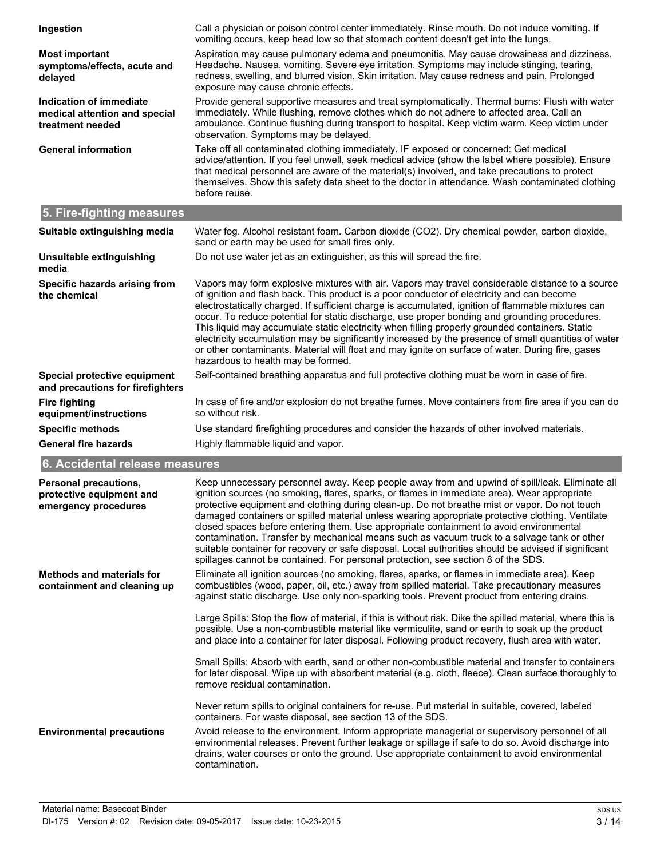| Ingestion                                                                           | Call a physician or poison control center immediately. Rinse mouth. Do not induce vomiting. If<br>vomiting occurs, keep head low so that stomach content doesn't get into the lungs.                                                                                                                                                                                                                                                                                                                                                                                                                                                                                                                                                                                                      |
|-------------------------------------------------------------------------------------|-------------------------------------------------------------------------------------------------------------------------------------------------------------------------------------------------------------------------------------------------------------------------------------------------------------------------------------------------------------------------------------------------------------------------------------------------------------------------------------------------------------------------------------------------------------------------------------------------------------------------------------------------------------------------------------------------------------------------------------------------------------------------------------------|
| <b>Most important</b><br>symptoms/effects, acute and<br>delayed                     | Aspiration may cause pulmonary edema and pneumonitis. May cause drowsiness and dizziness.<br>Headache. Nausea, vomiting. Severe eye irritation. Symptoms may include stinging, tearing,<br>redness, swelling, and blurred vision. Skin irritation. May cause redness and pain. Prolonged<br>exposure may cause chronic effects.                                                                                                                                                                                                                                                                                                                                                                                                                                                           |
| <b>Indication of immediate</b><br>medical attention and special<br>treatment needed | Provide general supportive measures and treat symptomatically. Thermal burns: Flush with water<br>immediately. While flushing, remove clothes which do not adhere to affected area. Call an<br>ambulance. Continue flushing during transport to hospital. Keep victim warm. Keep victim under<br>observation. Symptoms may be delayed.                                                                                                                                                                                                                                                                                                                                                                                                                                                    |
| <b>General information</b>                                                          | Take off all contaminated clothing immediately. IF exposed or concerned: Get medical<br>advice/attention. If you feel unwell, seek medical advice (show the label where possible). Ensure<br>that medical personnel are aware of the material(s) involved, and take precautions to protect<br>themselves. Show this safety data sheet to the doctor in attendance. Wash contaminated clothing<br>before reuse.                                                                                                                                                                                                                                                                                                                                                                            |
| 5. Fire-fighting measures                                                           |                                                                                                                                                                                                                                                                                                                                                                                                                                                                                                                                                                                                                                                                                                                                                                                           |
| Suitable extinguishing media                                                        | Water fog. Alcohol resistant foam. Carbon dioxide (CO2). Dry chemical powder, carbon dioxide,<br>sand or earth may be used for small fires only.                                                                                                                                                                                                                                                                                                                                                                                                                                                                                                                                                                                                                                          |
| Unsuitable extinguishing<br>media                                                   | Do not use water jet as an extinguisher, as this will spread the fire.                                                                                                                                                                                                                                                                                                                                                                                                                                                                                                                                                                                                                                                                                                                    |
| Specific hazards arising from<br>the chemical                                       | Vapors may form explosive mixtures with air. Vapors may travel considerable distance to a source<br>of ignition and flash back. This product is a poor conductor of electricity and can become<br>electrostatically charged. If sufficient charge is accumulated, ignition of flammable mixtures can<br>occur. To reduce potential for static discharge, use proper bonding and grounding procedures.<br>This liquid may accumulate static electricity when filling properly grounded containers. Static<br>electricity accumulation may be significantly increased by the presence of small quantities of water<br>or other contaminants. Material will float and may ignite on surface of water. During fire, gases<br>hazardous to health may be formed.                               |
| Special protective equipment<br>and precautions for firefighters                    | Self-contained breathing apparatus and full protective clothing must be worn in case of fire.                                                                                                                                                                                                                                                                                                                                                                                                                                                                                                                                                                                                                                                                                             |
| <b>Fire fighting</b><br>equipment/instructions                                      | In case of fire and/or explosion do not breathe fumes. Move containers from fire area if you can do<br>so without risk.                                                                                                                                                                                                                                                                                                                                                                                                                                                                                                                                                                                                                                                                   |
| <b>Specific methods</b>                                                             | Use standard firefighting procedures and consider the hazards of other involved materials.                                                                                                                                                                                                                                                                                                                                                                                                                                                                                                                                                                                                                                                                                                |
| <b>General fire hazards</b>                                                         | Highly flammable liquid and vapor.                                                                                                                                                                                                                                                                                                                                                                                                                                                                                                                                                                                                                                                                                                                                                        |
| 6. Accidental release measures                                                      |                                                                                                                                                                                                                                                                                                                                                                                                                                                                                                                                                                                                                                                                                                                                                                                           |
| <b>Personal precautions,</b><br>protective equipment and<br>emergency procedures    | Keep unnecessary personnel away. Keep people away from and upwind of spill/leak. Eliminate all<br>ignition sources (no smoking, flares, sparks, or flames in immediate area). Wear appropriate<br>protective equipment and clothing during clean-up. Do not breathe mist or vapor. Do not touch<br>damaged containers or spilled material unless wearing appropriate protective clothing. Ventilate<br>closed spaces before entering them. Use appropriate containment to avoid environmental<br>contamination. Transfer by mechanical means such as vacuum truck to a salvage tank or other<br>suitable container for recovery or safe disposal. Local authorities should be advised if significant<br>spillages cannot be contained. For personal protection, see section 8 of the SDS. |
| <b>Methods and materials for</b><br>containment and cleaning up                     | Eliminate all ignition sources (no smoking, flares, sparks, or flames in immediate area). Keep<br>combustibles (wood, paper, oil, etc.) away from spilled material. Take precautionary measures<br>against static discharge. Use only non-sparking tools. Prevent product from entering drains.                                                                                                                                                                                                                                                                                                                                                                                                                                                                                           |
|                                                                                     | Large Spills: Stop the flow of material, if this is without risk. Dike the spilled material, where this is<br>possible. Use a non-combustible material like vermiculite, sand or earth to soak up the product<br>and place into a container for later disposal. Following product recovery, flush area with water.                                                                                                                                                                                                                                                                                                                                                                                                                                                                        |
|                                                                                     | Small Spills: Absorb with earth, sand or other non-combustible material and transfer to containers<br>for later disposal. Wipe up with absorbent material (e.g. cloth, fleece). Clean surface thoroughly to<br>remove residual contamination.                                                                                                                                                                                                                                                                                                                                                                                                                                                                                                                                             |
|                                                                                     | Never return spills to original containers for re-use. Put material in suitable, covered, labeled<br>containers. For waste disposal, see section 13 of the SDS.                                                                                                                                                                                                                                                                                                                                                                                                                                                                                                                                                                                                                           |
| <b>Environmental precautions</b>                                                    | Avoid release to the environment. Inform appropriate managerial or supervisory personnel of all<br>environmental releases. Prevent further leakage or spillage if safe to do so. Avoid discharge into<br>drains, water courses or onto the ground. Use appropriate containment to avoid environmental<br>contamination.                                                                                                                                                                                                                                                                                                                                                                                                                                                                   |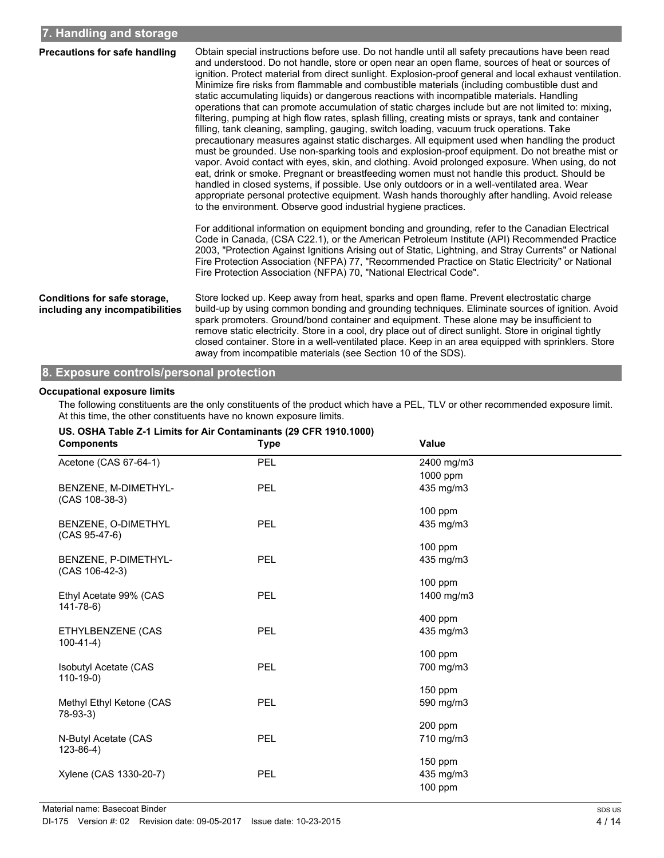| <b>Precautions for safe handling</b>                            | Obtain special instructions before use. Do not handle until all safety precautions have been read<br>and understood. Do not handle, store or open near an open flame, sources of heat or sources of<br>ignition. Protect material from direct sunlight. Explosion-proof general and local exhaust ventilation.<br>Minimize fire risks from flammable and combustible materials (including combustible dust and<br>static accumulating liquids) or dangerous reactions with incompatible materials. Handling<br>operations that can promote accumulation of static charges include but are not limited to: mixing,<br>filtering, pumping at high flow rates, splash filling, creating mists or sprays, tank and container<br>filling, tank cleaning, sampling, gauging, switch loading, vacuum truck operations. Take<br>precautionary measures against static discharges. All equipment used when handling the product<br>must be grounded. Use non-sparking tools and explosion-proof equipment. Do not breathe mist or<br>vapor. Avoid contact with eyes, skin, and clothing. Avoid prolonged exposure. When using, do not<br>eat, drink or smoke. Pregnant or breastfeeding women must not handle this product. Should be<br>handled in closed systems, if possible. Use only outdoors or in a well-ventilated area. Wear<br>appropriate personal protective equipment. Wash hands thoroughly after handling. Avoid release<br>to the environment. Observe good industrial hygiene practices. |
|-----------------------------------------------------------------|--------------------------------------------------------------------------------------------------------------------------------------------------------------------------------------------------------------------------------------------------------------------------------------------------------------------------------------------------------------------------------------------------------------------------------------------------------------------------------------------------------------------------------------------------------------------------------------------------------------------------------------------------------------------------------------------------------------------------------------------------------------------------------------------------------------------------------------------------------------------------------------------------------------------------------------------------------------------------------------------------------------------------------------------------------------------------------------------------------------------------------------------------------------------------------------------------------------------------------------------------------------------------------------------------------------------------------------------------------------------------------------------------------------------------------------------------------------------------------------------------|
|                                                                 | For additional information on equipment bonding and grounding, refer to the Canadian Electrical<br>Code in Canada, (CSA C22.1), or the American Petroleum Institute (API) Recommended Practice<br>2003, "Protection Against Ignitions Arising out of Static, Lightning, and Stray Currents" or National<br>Fire Protection Association (NFPA) 77, "Recommended Practice on Static Electricity" or National<br>Fire Protection Association (NFPA) 70, "National Electrical Code".                                                                                                                                                                                                                                                                                                                                                                                                                                                                                                                                                                                                                                                                                                                                                                                                                                                                                                                                                                                                                 |
| Conditions for safe storage,<br>including any incompatibilities | Store locked up. Keep away from heat, sparks and open flame. Prevent electrostatic charge<br>build-up by using common bonding and grounding techniques. Eliminate sources of ignition. Avoid<br>spark promoters. Ground/bond container and equipment. These alone may be insufficient to<br>remove static electricity. Store in a cool, dry place out of direct sunlight. Store in original tightly<br>closed container. Store in a well-ventilated place. Keep in an area equipped with sprinklers. Store<br>away from incompatible materials (see Section 10 of the SDS).                                                                                                                                                                                                                                                                                                                                                                                                                                                                                                                                                                                                                                                                                                                                                                                                                                                                                                                      |

## **8. Exposure controls/personal protection**

### **Occupational exposure limits**

The following constituents are the only constituents of the product which have a PEL, TLV or other recommended exposure limit. At this time, the other constituents have no known exposure limits.

| US. OSHA Table Z-1 Limits for Air Contaminants (29 CFR 1910.1000)<br><b>Components</b> | <b>Type</b> | <b>Value</b> |
|----------------------------------------------------------------------------------------|-------------|--------------|
| Acetone (CAS 67-64-1)                                                                  | PEL         | 2400 mg/m3   |
|                                                                                        |             | 1000 ppm     |
| BENZENE, M-DIMETHYL-<br>$(CAS 108-38-3)$                                               | <b>PEL</b>  | 435 mg/m3    |
|                                                                                        |             | $100$ ppm    |
| BENZENE, O-DIMETHYL<br>$(CAS 95-47-6)$                                                 | PEL         | 435 mg/m3    |
|                                                                                        |             | $100$ ppm    |
| BENZENE, P-DIMETHYL-<br>$(CAS 106-42-3)$                                               | <b>PEL</b>  | 435 mg/m3    |
|                                                                                        |             | 100 ppm      |
| Ethyl Acetate 99% (CAS<br>141-78-6)                                                    | PEL         | 1400 mg/m3   |
|                                                                                        |             | 400 ppm      |
| ETHYLBENZENE (CAS<br>$100-41-4)$                                                       | <b>PEL</b>  | 435 mg/m3    |
|                                                                                        |             | 100 ppm      |
| Isobutyl Acetate (CAS<br>$110-19-0$                                                    | PEL         | 700 mg/m3    |
|                                                                                        |             | $150$ ppm    |
| Methyl Ethyl Ketone (CAS<br>78-93-3)                                                   | PEL         | 590 mg/m3    |
|                                                                                        |             | 200 ppm      |
| N-Butyl Acetate (CAS<br>$123 - 86 - 4$ )                                               | <b>PEL</b>  | 710 mg/m3    |
|                                                                                        |             | $150$ ppm    |
| Xylene (CAS 1330-20-7)                                                                 | <b>PEL</b>  | 435 mg/m3    |
|                                                                                        |             | 100 ppm      |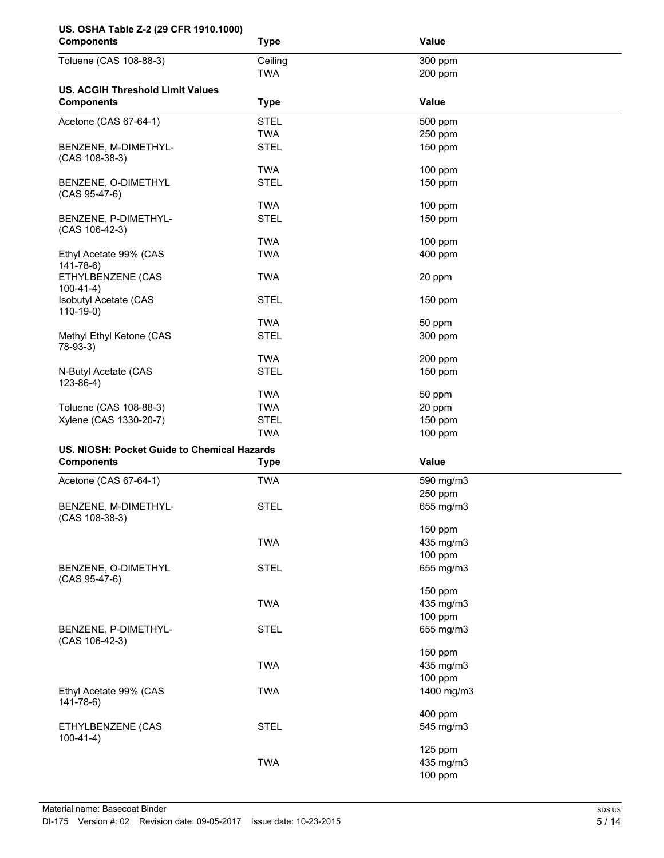| US. OSHA Table Z-2 (29 CFR 1910.1000)<br><b>Components</b> | <b>Type</b> | Value        |  |
|------------------------------------------------------------|-------------|--------------|--|
| Toluene (CAS 108-88-3)                                     | Ceiling     | 300 ppm      |  |
|                                                            | <b>TWA</b>  | 200 ppm      |  |
| <b>US. ACGIH Threshold Limit Values</b>                    |             |              |  |
| <b>Components</b>                                          | <b>Type</b> | <b>Value</b> |  |
| Acetone (CAS 67-64-1)                                      | <b>STEL</b> | 500 ppm      |  |
|                                                            | <b>TWA</b>  | 250 ppm      |  |
| BENZENE, M-DIMETHYL-<br>(CAS 108-38-3)                     | <b>STEL</b> | 150 ppm      |  |
|                                                            | <b>TWA</b>  | $100$ ppm    |  |
| BENZENE, O-DIMETHYL<br>$(CAS 95-47-6)$                     | <b>STEL</b> | 150 ppm      |  |
|                                                            | <b>TWA</b>  | $100$ ppm    |  |
| BENZENE, P-DIMETHYL-<br>(CAS 106-42-3)                     | <b>STEL</b> | 150 ppm      |  |
|                                                            | <b>TWA</b>  | $100$ ppm    |  |
| Ethyl Acetate 99% (CAS                                     | <b>TWA</b>  | 400 ppm      |  |
| $141 - 78 - 6$                                             |             |              |  |
| ETHYLBENZENE (CAS<br>$100-41-4)$                           | <b>TWA</b>  | 20 ppm       |  |
| Isobutyl Acetate (CAS                                      | <b>STEL</b> | $150$ ppm    |  |
| $110-19-0$                                                 |             |              |  |
|                                                            | <b>TWA</b>  | 50 ppm       |  |
| Methyl Ethyl Ketone (CAS<br>78-93-3)                       | <b>STEL</b> | 300 ppm      |  |
|                                                            | <b>TWA</b>  | 200 ppm      |  |
| N-Butyl Acetate (CAS<br>$123 - 86 - 4$ )                   | <b>STEL</b> | 150 ppm      |  |
|                                                            | <b>TWA</b>  | 50 ppm       |  |
| Toluene (CAS 108-88-3)                                     | <b>TWA</b>  | 20 ppm       |  |
| Xylene (CAS 1330-20-7)                                     | <b>STEL</b> | 150 ppm      |  |
|                                                            | <b>TWA</b>  | $100$ ppm    |  |
|                                                            |             |              |  |
| US. NIOSH: Pocket Guide to Chemical Hazards                |             |              |  |
| <b>Components</b>                                          | <b>Type</b> | Value        |  |
| Acetone (CAS 67-64-1)                                      | <b>TWA</b>  | 590 mg/m3    |  |
|                                                            |             | 250 ppm      |  |
| BENZENE, M-DIMETHYL-<br>(CAS 108-38-3)                     | <b>STEL</b> | 655 mg/m3    |  |
|                                                            |             | 150 ppm      |  |
|                                                            | <b>TWA</b>  | 435 mg/m3    |  |
|                                                            |             | 100 ppm      |  |
| BENZENE, O-DIMETHYL<br>(CAS 95-47-6)                       | <b>STEL</b> | 655 mg/m3    |  |
|                                                            |             | 150 ppm      |  |
|                                                            | <b>TWA</b>  | 435 mg/m3    |  |
|                                                            |             | 100 ppm      |  |
| BENZENE, P-DIMETHYL-<br>(CAS 106-42-3)                     | <b>STEL</b> | 655 mg/m3    |  |
|                                                            |             | 150 ppm      |  |
|                                                            | <b>TWA</b>  | 435 mg/m3    |  |
|                                                            |             | 100 ppm      |  |
| Ethyl Acetate 99% (CAS                                     | <b>TWA</b>  | 1400 mg/m3   |  |
| $141 - 78 - 6$                                             |             | 400 ppm      |  |
| ETHYLBENZENE (CAS                                          | <b>STEL</b> | 545 mg/m3    |  |
| $100-41-4)$                                                |             | 125 ppm      |  |
|                                                            | <b>TWA</b>  | 435 mg/m3    |  |
|                                                            |             |              |  |
|                                                            |             | 100 ppm      |  |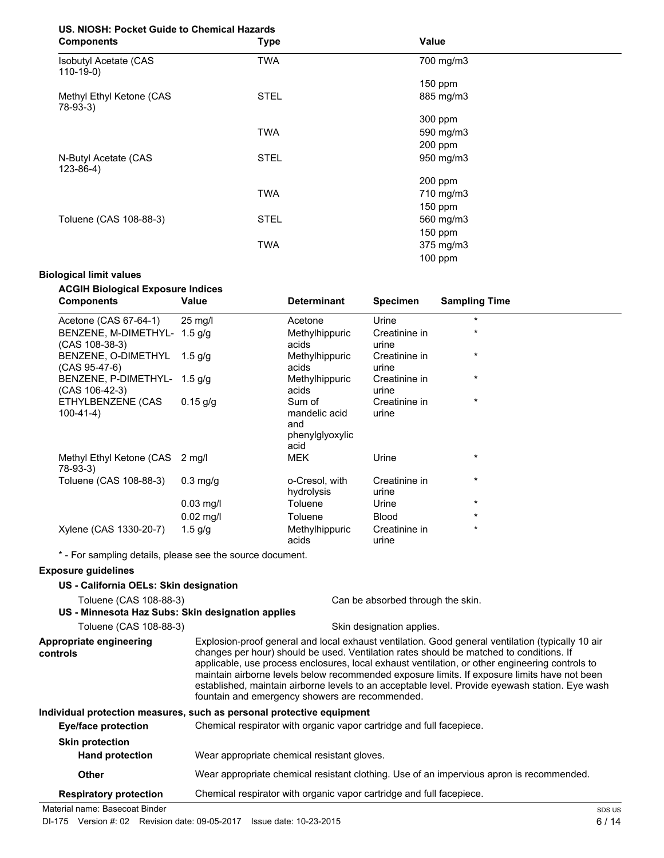# **US. NIOSH: Pocket Guide to Chemical Hazards**

| <b>Components</b>                          | <b>Type</b> | Value     |  |
|--------------------------------------------|-------------|-----------|--|
| <b>Isobutyl Acetate (CAS</b><br>$110-19-0$ | <b>TWA</b>  | 700 mg/m3 |  |
|                                            |             | 150 ppm   |  |
| Methyl Ethyl Ketone (CAS<br>78-93-3)       | <b>STEL</b> | 885 mg/m3 |  |
|                                            |             | 300 ppm   |  |
|                                            | <b>TWA</b>  | 590 mg/m3 |  |
|                                            |             | $200$ ppm |  |
| N-Butyl Acetate (CAS<br>$123 - 86 - 4$     | <b>STEL</b> | 950 mg/m3 |  |
|                                            |             | 200 ppm   |  |
|                                            | <b>TWA</b>  | 710 mg/m3 |  |
|                                            |             | 150 ppm   |  |
| Toluene (CAS 108-88-3)                     | <b>STEL</b> | 560 mg/m3 |  |
|                                            |             | 150 ppm   |  |
|                                            | <b>TWA</b>  | 375 mg/m3 |  |
|                                            |             | 100 ppm   |  |

## **Biological limit values**

| <b>ACGIH Biological Exposure Indices</b><br><b>Components</b> | Value             | <b>Determinant</b>                                        | <b>Specimen</b>        | <b>Sampling Time</b> |
|---------------------------------------------------------------|-------------------|-----------------------------------------------------------|------------------------|----------------------|
| Acetone (CAS 67-64-1)                                         | $25 \text{ mg/l}$ | Acetone                                                   | Urine                  | $^\star$             |
| BENZENE, M-DIMETHYL- 1.5 g/g<br>(CAS 108-38-3)                |                   | Methylhippuric<br>acids                                   | Creatinine in<br>urine | $\star$              |
| BENZENE, O-DIMETHYL<br>(CAS 95-47-6)                          | 1.5 g/g           | Methylhippuric<br>acids                                   | Creatinine in<br>urine | $^\star$             |
| BENZENE, P-DIMETHYL- 1.5 g/g<br>(CAS 106-42-3)                |                   | Methylhippuric<br>acids                                   | Creatinine in<br>urine | $^\star$             |
| ETHYLBENZENE (CAS<br>$100-41-4)$                              | $0.15$ g/g        | Sum of<br>mandelic acid<br>and<br>phenylglyoxylic<br>acid | Creatinine in<br>urine | $\star$              |
| Methyl Ethyl Ketone (CAS<br>78-93-3)                          | 2 mg/l            | <b>MEK</b>                                                | Urine                  | $\star$              |
| Toluene (CAS 108-88-3)                                        | $0.3$ mg/g        | o-Cresol, with<br>hydrolysis                              | Creatinine in<br>urine | $\star$              |
|                                                               | $0.03$ mg/l       | Toluene                                                   | Urine                  | $\star$              |
|                                                               | $0.02$ mg/l       | Toluene                                                   | <b>Blood</b>           | $\star$              |
| Xylene (CAS 1330-20-7)                                        | $1.5$ g/g         | Methylhippuric<br>acids                                   | Creatinine in<br>urine | $\star$              |

**Exposure guidelines**

| US - California OELs: Skin designation            |                                                                                                                                                                                                                                                                                                                                                                                                                                                                                                                                                       |  |
|---------------------------------------------------|-------------------------------------------------------------------------------------------------------------------------------------------------------------------------------------------------------------------------------------------------------------------------------------------------------------------------------------------------------------------------------------------------------------------------------------------------------------------------------------------------------------------------------------------------------|--|
| Toluene (CAS 108-88-3)                            | Can be absorbed through the skin.                                                                                                                                                                                                                                                                                                                                                                                                                                                                                                                     |  |
| US - Minnesota Haz Subs: Skin designation applies |                                                                                                                                                                                                                                                                                                                                                                                                                                                                                                                                                       |  |
| Toluene (CAS 108-88-3)                            | Skin designation applies.                                                                                                                                                                                                                                                                                                                                                                                                                                                                                                                             |  |
| Appropriate engineering<br>controls               | Explosion-proof general and local exhaust ventilation. Good general ventilation (typically 10 air<br>changes per hour) should be used. Ventilation rates should be matched to conditions. If<br>applicable, use process enclosures, local exhaust ventilation, or other engineering controls to<br>maintain airborne levels below recommended exposure limits. If exposure limits have not been<br>established, maintain airborne levels to an acceptable level. Provide eyewash station. Eye wash<br>fountain and emergency showers are recommended. |  |
|                                                   | Individual protection measures, such as personal protective equipment                                                                                                                                                                                                                                                                                                                                                                                                                                                                                 |  |
| <b>Eye/face protection</b>                        | Chemical respirator with organic vapor cartridge and full facepiece.                                                                                                                                                                                                                                                                                                                                                                                                                                                                                  |  |
| <b>Skin protection</b><br><b>Hand protection</b>  | Wear appropriate chemical resistant gloves.                                                                                                                                                                                                                                                                                                                                                                                                                                                                                                           |  |
| Other                                             | Wear appropriate chemical resistant clothing. Use of an impervious apron is recommended.                                                                                                                                                                                                                                                                                                                                                                                                                                                              |  |
| <b>Respiratory protection</b>                     | Chemical respirator with organic vapor cartridge and full facepiece.                                                                                                                                                                                                                                                                                                                                                                                                                                                                                  |  |

Material name: Basecoat Binder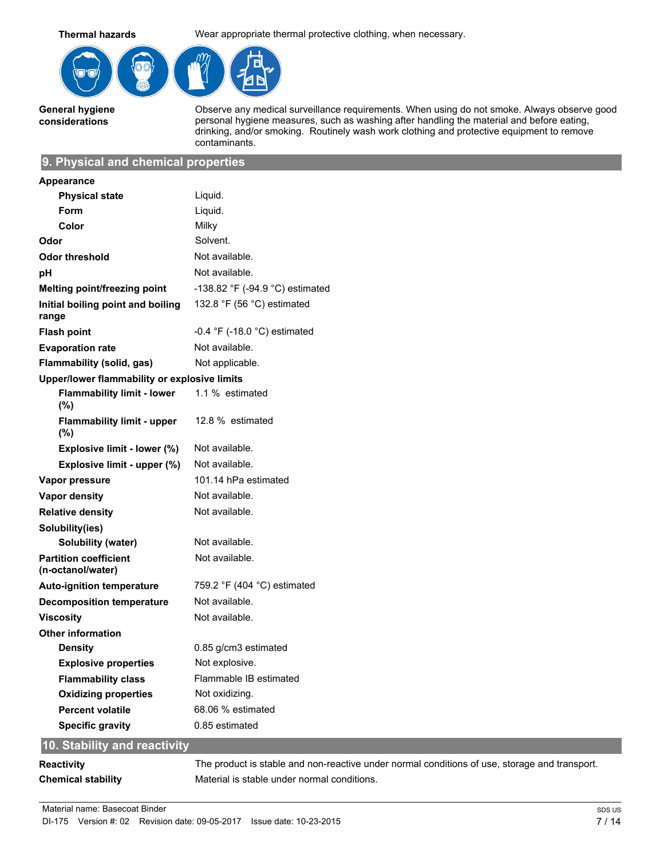**Thermal hazards** Wear appropriate thermal protective clothing, when necessary.



**General hygiene considerations**

Observe any medical surveillance requirements. When using do not smoke. Always observe good personal hygiene measures, such as washing after handling the material and before eating, drinking, and/or smoking. Routinely wash work clothing and protective equipment to remove contaminants.

## **9. Physical and chemical properties**

| <b>Appearance</b>                                 |                                   |
|---------------------------------------------------|-----------------------------------|
| <b>Physical state</b>                             | Liquid.                           |
| Form                                              | Liquid.                           |
| Color                                             | Milky                             |
| Odor                                              | Solvent.                          |
| <b>Odor threshold</b>                             | Not available.                    |
| рH                                                | Not available.                    |
| Melting point/freezing point                      | $-138.82$ °F (-94.9 °C) estimated |
| Initial boiling point and boiling<br>range        | 132.8 °F (56 °C) estimated        |
| <b>Flash point</b>                                | -0.4 °F (-18.0 °C) estimated      |
| <b>Evaporation rate</b>                           | Not available.                    |
| Flammability (solid, gas)                         | Not applicable.                   |
| Upper/lower flammability or explosive limits      |                                   |
| <b>Flammability limit - lower</b><br>(%)          | 1.1 % estimated                   |
| <b>Flammability limit - upper</b><br>$(\%)$       | 12.8 % estimated                  |
| Explosive limit - lower (%)                       | Not available.                    |
| Explosive limit - upper (%)                       | Not available.                    |
| Vapor pressure                                    | 101.14 hPa estimated              |
| <b>Vapor density</b>                              | Not available.                    |
| <b>Relative density</b>                           | Not available.                    |
| Solubility(ies)                                   |                                   |
| Solubility (water)                                | Not available.                    |
| <b>Partition coefficient</b><br>(n-octanol/water) | Not available.                    |
| <b>Auto-ignition temperature</b>                  | 759.2 °F (404 °C) estimated       |
| <b>Decomposition temperature</b>                  | Not available.                    |
| Viscosity                                         | Not available.                    |
| <b>Other information</b>                          |                                   |
| <b>Density</b>                                    | 0.85 g/cm3 estimated              |
| <b>Explosive properties</b>                       | Not explosive.                    |
| <b>Flammability class</b>                         | Flammable IB estimated            |
| <b>Oxidizing properties</b>                       | Not oxidizing.                    |
| <b>Percent volatile</b>                           | 68.06 % estimated                 |
| <b>Specific gravity</b>                           | 0.85 estimated                    |
|                                                   |                                   |

# **10. Stability and reactivity**

| Reactivity         | The product is stable and non-reactive under normal conditions of use, storage and transport. |
|--------------------|-----------------------------------------------------------------------------------------------|
| Chemical stability | Material is stable under normal conditions.                                                   |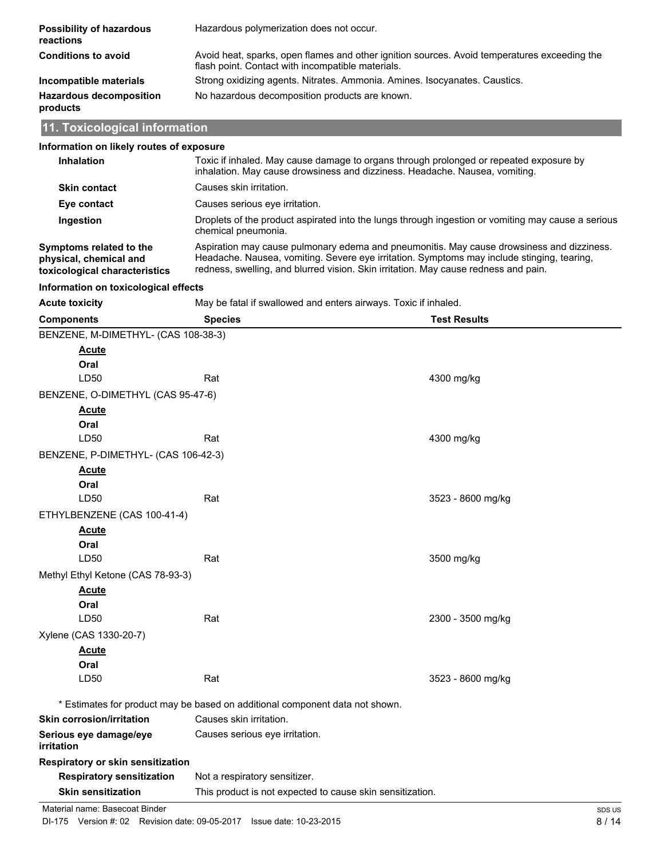| <b>Possibility of hazardous</b><br>reactions | Hazardous polymerization does not occur.                                                                                                          |
|----------------------------------------------|---------------------------------------------------------------------------------------------------------------------------------------------------|
| <b>Conditions to avoid</b>                   | Avoid heat, sparks, open flames and other ignition sources. Avoid temperatures exceeding the<br>flash point. Contact with incompatible materials. |
| Incompatible materials                       | Strong oxidizing agents. Nitrates. Ammonia. Amines. Isocyanates. Caustics.                                                                        |
| <b>Hazardous decomposition</b><br>products   | No hazardous decomposition products are known.                                                                                                    |
| 11. Toxicological information                |                                                                                                                                                   |

# **11. Toxicological information**

| Information on likely routes of exposure                                                                                                    |                                                                                                                                                                                                                                                                                |                     |  |
|---------------------------------------------------------------------------------------------------------------------------------------------|--------------------------------------------------------------------------------------------------------------------------------------------------------------------------------------------------------------------------------------------------------------------------------|---------------------|--|
| <b>Inhalation</b>                                                                                                                           | Toxic if inhaled. May cause damage to organs through prolonged or repeated exposure by<br>inhalation. May cause drowsiness and dizziness. Headache. Nausea, vomiting.                                                                                                          |                     |  |
| <b>Skin contact</b>                                                                                                                         | Causes skin irritation.                                                                                                                                                                                                                                                        |                     |  |
| Eye contact                                                                                                                                 | Causes serious eye irritation.                                                                                                                                                                                                                                                 |                     |  |
| Ingestion                                                                                                                                   | Droplets of the product aspirated into the lungs through ingestion or vomiting may cause a serious<br>chemical pneumonia.                                                                                                                                                      |                     |  |
| Symptoms related to the<br>physical, chemical and<br>toxicological characteristics                                                          | Aspiration may cause pulmonary edema and pneumonitis. May cause drowsiness and dizziness.<br>Headache. Nausea, vomiting. Severe eye irritation. Symptoms may include stinging, tearing,<br>redness, swelling, and blurred vision. Skin irritation. May cause redness and pain. |                     |  |
| Information on toxicological effects                                                                                                        |                                                                                                                                                                                                                                                                                |                     |  |
| <b>Acute toxicity</b>                                                                                                                       | May be fatal if swallowed and enters airways. Toxic if inhaled.                                                                                                                                                                                                                |                     |  |
| <b>Components</b>                                                                                                                           | <b>Species</b>                                                                                                                                                                                                                                                                 | <b>Test Results</b> |  |
| BENZENE, M-DIMETHYL- (CAS 108-38-3)                                                                                                         |                                                                                                                                                                                                                                                                                |                     |  |
| Acute                                                                                                                                       |                                                                                                                                                                                                                                                                                |                     |  |
| Oral                                                                                                                                        |                                                                                                                                                                                                                                                                                |                     |  |
| LD50                                                                                                                                        | Rat                                                                                                                                                                                                                                                                            | 4300 mg/kg          |  |
| BENZENE, O-DIMETHYL (CAS 95-47-6)                                                                                                           |                                                                                                                                                                                                                                                                                |                     |  |
| <u>Acute</u>                                                                                                                                |                                                                                                                                                                                                                                                                                |                     |  |
| Oral                                                                                                                                        |                                                                                                                                                                                                                                                                                |                     |  |
| LD50                                                                                                                                        | Rat                                                                                                                                                                                                                                                                            | 4300 mg/kg          |  |
| BENZENE, P-DIMETHYL- (CAS 106-42-3)                                                                                                         |                                                                                                                                                                                                                                                                                |                     |  |
| <b>Acute</b><br>Oral                                                                                                                        |                                                                                                                                                                                                                                                                                |                     |  |
| LD50                                                                                                                                        | Rat                                                                                                                                                                                                                                                                            | 3523 - 8600 mg/kg   |  |
| ETHYLBENZENE (CAS 100-41-4)                                                                                                                 |                                                                                                                                                                                                                                                                                |                     |  |
| <b>Acute</b>                                                                                                                                |                                                                                                                                                                                                                                                                                |                     |  |
| Oral                                                                                                                                        |                                                                                                                                                                                                                                                                                |                     |  |
| LD50                                                                                                                                        | Rat                                                                                                                                                                                                                                                                            | 3500 mg/kg          |  |
| Methyl Ethyl Ketone (CAS 78-93-3)                                                                                                           |                                                                                                                                                                                                                                                                                |                     |  |
| <u>Acute</u>                                                                                                                                |                                                                                                                                                                                                                                                                                |                     |  |
| Oral                                                                                                                                        |                                                                                                                                                                                                                                                                                |                     |  |
| LD50                                                                                                                                        | Rat                                                                                                                                                                                                                                                                            | 2300 - 3500 mg/kg   |  |
| Xylene (CAS 1330-20-7)                                                                                                                      |                                                                                                                                                                                                                                                                                |                     |  |
| Acute                                                                                                                                       |                                                                                                                                                                                                                                                                                |                     |  |
| Oral                                                                                                                                        |                                                                                                                                                                                                                                                                                |                     |  |
| LD50                                                                                                                                        | Rat                                                                                                                                                                                                                                                                            | 3523 - 8600 mg/kg   |  |
|                                                                                                                                             |                                                                                                                                                                                                                                                                                |                     |  |
| * Estimates for product may be based on additional component data not shown.<br>Causes skin irritation.<br><b>Skin corrosion/irritation</b> |                                                                                                                                                                                                                                                                                |                     |  |
| Serious eye damage/eye                                                                                                                      | Causes serious eye irritation.                                                                                                                                                                                                                                                 |                     |  |
| irritation                                                                                                                                  |                                                                                                                                                                                                                                                                                |                     |  |
| Respiratory or skin sensitization                                                                                                           |                                                                                                                                                                                                                                                                                |                     |  |
| <b>Respiratory sensitization</b>                                                                                                            | Not a respiratory sensitizer.                                                                                                                                                                                                                                                  |                     |  |
| <b>Skin sensitization</b>                                                                                                                   | This product is not expected to cause skin sensitization.                                                                                                                                                                                                                      |                     |  |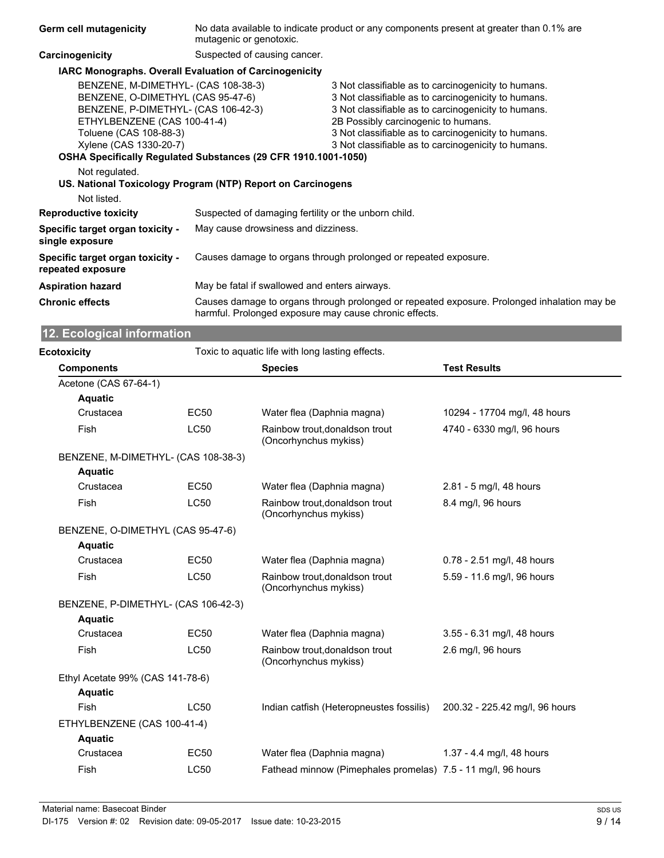| Germ cell mutagenicity                                                                                                                                                                                                              | No data available to indicate product or any components present at greater than 0.1% are<br>mutagenic or genotoxic.           |                                                                                                                                                                                                                                                                                                                        |  |
|-------------------------------------------------------------------------------------------------------------------------------------------------------------------------------------------------------------------------------------|-------------------------------------------------------------------------------------------------------------------------------|------------------------------------------------------------------------------------------------------------------------------------------------------------------------------------------------------------------------------------------------------------------------------------------------------------------------|--|
| Carcinogenicity                                                                                                                                                                                                                     | Suspected of causing cancer.                                                                                                  |                                                                                                                                                                                                                                                                                                                        |  |
|                                                                                                                                                                                                                                     | <b>IARC Monographs. Overall Evaluation of Carcinogenicity</b>                                                                 |                                                                                                                                                                                                                                                                                                                        |  |
| BENZENE, M-DIMETHYL- (CAS 108-38-3)<br>BENZENE, O-DIMETHYL (CAS 95-47-6)<br>BENZENE, P-DIMETHYL- (CAS 106-42-3)<br>ETHYLBENZENE (CAS 100-41-4)<br>Toluene (CAS 108-88-3)<br>Xylene (CAS 1330-20-7)<br>Not regulated.<br>Not listed. | OSHA Specifically Regulated Substances (29 CFR 1910.1001-1050)<br>US. National Toxicology Program (NTP) Report on Carcinogens | 3 Not classifiable as to carcinogenicity to humans.<br>3 Not classifiable as to carcinogenicity to humans.<br>3 Not classifiable as to carcinogenicity to humans.<br>2B Possibly carcinogenic to humans.<br>3 Not classifiable as to carcinogenicity to humans.<br>3 Not classifiable as to carcinogenicity to humans. |  |
| <b>Reproductive toxicity</b>                                                                                                                                                                                                        | Suspected of damaging fertility or the unborn child.                                                                          |                                                                                                                                                                                                                                                                                                                        |  |
| Specific target organ toxicity -<br>single exposure                                                                                                                                                                                 | May cause drowsiness and dizziness.                                                                                           |                                                                                                                                                                                                                                                                                                                        |  |
| Specific target organ toxicity -<br>repeated exposure                                                                                                                                                                               | Causes damage to organs through prolonged or repeated exposure.                                                               |                                                                                                                                                                                                                                                                                                                        |  |
| <b>Aspiration hazard</b>                                                                                                                                                                                                            | May be fatal if swallowed and enters airways.                                                                                 |                                                                                                                                                                                                                                                                                                                        |  |
| <b>Chronic effects</b>                                                                                                                                                                                                              | harmful. Prolonged exposure may cause chronic effects.                                                                        | Causes damage to organs through prolonged or repeated exposure. Prolonged inhalation may be                                                                                                                                                                                                                            |  |

# **12. Ecological information**

| <b>Ecotoxicity</b>                  |                  | Toxic to aquatic life with long lasting effects.             |                                |  |
|-------------------------------------|------------------|--------------------------------------------------------------|--------------------------------|--|
| <b>Components</b>                   |                  | <b>Species</b>                                               | <b>Test Results</b>            |  |
| Acetone (CAS 67-64-1)               |                  |                                                              |                                |  |
| <b>Aquatic</b>                      |                  |                                                              |                                |  |
| Crustacea                           | EC <sub>50</sub> | Water flea (Daphnia magna)                                   | 10294 - 17704 mg/l, 48 hours   |  |
| Fish                                | <b>LC50</b>      | Rainbow trout, donaldson trout<br>(Oncorhynchus mykiss)      | 4740 - 6330 mg/l, 96 hours     |  |
| BENZENE, M-DIMETHYL- (CAS 108-38-3) |                  |                                                              |                                |  |
| <b>Aquatic</b>                      |                  |                                                              |                                |  |
| Crustacea                           | <b>EC50</b>      | Water flea (Daphnia magna)                                   | 2.81 - 5 mg/l, 48 hours        |  |
| Fish                                | <b>LC50</b>      | Rainbow trout, donaldson trout<br>(Oncorhynchus mykiss)      | 8.4 mg/l, 96 hours             |  |
| BENZENE, O-DIMETHYL (CAS 95-47-6)   |                  |                                                              |                                |  |
| <b>Aquatic</b>                      |                  |                                                              |                                |  |
| Crustacea                           | EC <sub>50</sub> | Water flea (Daphnia magna)                                   | 0.78 - 2.51 mg/l, 48 hours     |  |
| Fish                                | <b>LC50</b>      | Rainbow trout.donaldson trout<br>(Oncorhynchus mykiss)       | 5.59 - 11.6 mg/l, 96 hours     |  |
| BENZENE, P-DIMETHYL- (CAS 106-42-3) |                  |                                                              |                                |  |
| <b>Aquatic</b>                      |                  |                                                              |                                |  |
| Crustacea                           | <b>EC50</b>      | Water flea (Daphnia magna)                                   | 3.55 - 6.31 mg/l, 48 hours     |  |
| Fish                                | <b>LC50</b>      | Rainbow trout, donaldson trout<br>(Oncorhynchus mykiss)      | 2.6 mg/l, 96 hours             |  |
| Ethyl Acetate 99% (CAS 141-78-6)    |                  |                                                              |                                |  |
| <b>Aquatic</b>                      |                  |                                                              |                                |  |
| Fish                                | <b>LC50</b>      | Indian catfish (Heteropneustes fossilis)                     | 200.32 - 225.42 mg/l, 96 hours |  |
| ETHYLBENZENE (CAS 100-41-4)         |                  |                                                              |                                |  |
| <b>Aquatic</b>                      |                  |                                                              |                                |  |
| Crustacea                           | <b>EC50</b>      | Water flea (Daphnia magna)                                   | 1.37 - 4.4 mg/l, 48 hours      |  |
| Fish                                | <b>LC50</b>      | Fathead minnow (Pimephales promelas) 7.5 - 11 mg/l, 96 hours |                                |  |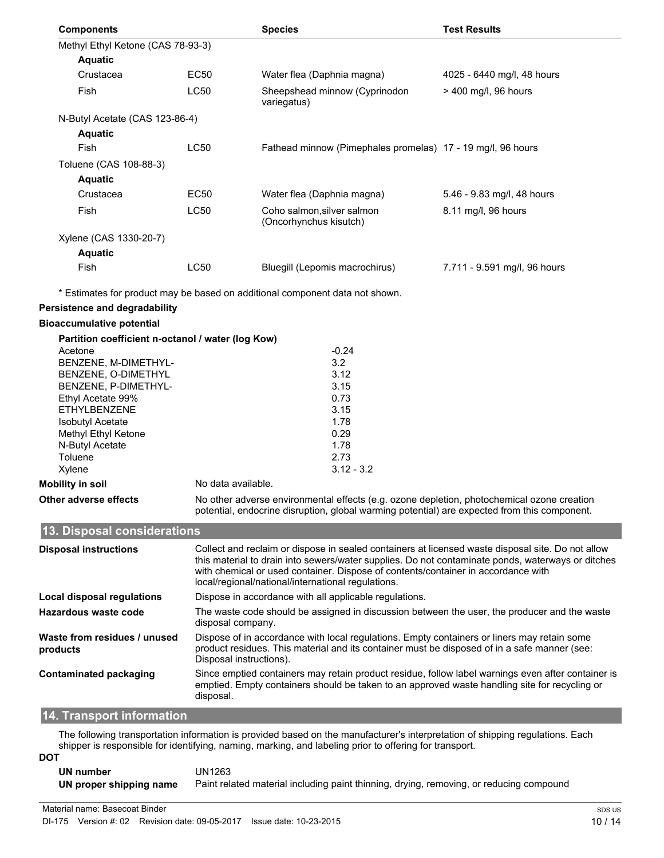| <b>Components</b>                                 |             | <b>Species</b>                                                               | <b>Test Results</b>          |
|---------------------------------------------------|-------------|------------------------------------------------------------------------------|------------------------------|
| Methyl Ethyl Ketone (CAS 78-93-3)                 |             |                                                                              |                              |
| <b>Aquatic</b>                                    |             |                                                                              |                              |
| Crustacea                                         | <b>EC50</b> | Water flea (Daphnia magna)                                                   | 4025 - 6440 mg/l, 48 hours   |
| Fish                                              | <b>LC50</b> | Sheepshead minnow (Cyprinodon<br>variegatus)                                 | > 400 mg/l, 96 hours         |
| N-Butyl Acetate (CAS 123-86-4)                    |             |                                                                              |                              |
| <b>Aquatic</b>                                    |             |                                                                              |                              |
| Fish                                              | <b>LC50</b> | Fathead minnow (Pimephales promelas) 17 - 19 mg/l, 96 hours                  |                              |
| Toluene (CAS 108-88-3)                            |             |                                                                              |                              |
| <b>Aquatic</b>                                    |             |                                                                              |                              |
| Crustacea                                         | <b>EC50</b> | Water flea (Daphnia magna)                                                   | 5.46 - 9.83 mg/l, 48 hours   |
| Fish                                              | LC50        | Coho salmon, silver salmon<br>(Oncorhynchus kisutch)                         | 8.11 mg/l, 96 hours          |
| Xylene (CAS 1330-20-7)                            |             |                                                                              |                              |
| <b>Aquatic</b>                                    |             |                                                                              |                              |
| Fish                                              | <b>LC50</b> | Bluegill (Lepomis macrochirus)                                               | 7.711 - 9.591 mg/l, 96 hours |
|                                                   |             | * Estimates for product may be based on additional component data not shown. |                              |
| <b>Persistence and degradability</b>              |             |                                                                              |                              |
| <b>Bioaccumulative potential</b>                  |             |                                                                              |                              |
| Partition coefficient n-octanol / water (log Kow) |             |                                                                              |                              |
| Acetone                                           |             | $-0.24$                                                                      |                              |
| BENZENE, M-DIMETHYL-                              |             | 3.2                                                                          |                              |
| BENZENE, O-DIMETHYL                               |             | 3.12                                                                         |                              |
| BENZENE, P-DIMETHYL-                              |             | 3.15                                                                         |                              |
| Ethyl Acetate 99%                                 |             | 0.73                                                                         |                              |
| <b>ETHYLBENZENE</b>                               |             | 3.15                                                                         |                              |
| <b>Isobutyl Acetate</b>                           |             | 1.78                                                                         |                              |

| Xylene                      | $3.12 - 3.2$                                                                                                                                                                               |
|-----------------------------|--------------------------------------------------------------------------------------------------------------------------------------------------------------------------------------------|
| Mobility in soil            | No data available.                                                                                                                                                                         |
| Other adverse effects       | No other adverse environmental effects (e.g. ozone depletion, photochemical ozone creation<br>potential, endocrine disruption, global warming potential) are expected from this component. |
| 13. Disposal considerations |                                                                                                                                                                                            |
|                             |                                                                                                                                                                                            |

Isobutyl Acetate 1.78<br>
Methyl Ethyl Ketone 1.78<br>
0.29

N-Butyl Acetate 1.78 Toluene 2.73

| <b>Disposal instructions</b>             | Collect and reclaim or dispose in sealed containers at licensed waste disposal site. Do not allow<br>this material to drain into sewers/water supplies. Do not contaminate ponds, waterways or ditches<br>with chemical or used container. Dispose of contents/container in accordance with<br>local/regional/national/international regulations. |
|------------------------------------------|---------------------------------------------------------------------------------------------------------------------------------------------------------------------------------------------------------------------------------------------------------------------------------------------------------------------------------------------------|
| Local disposal regulations               | Dispose in accordance with all applicable regulations.                                                                                                                                                                                                                                                                                            |
| Hazardous waste code                     | The waste code should be assigned in discussion between the user, the producer and the waste<br>disposal company.                                                                                                                                                                                                                                 |
| Waste from residues / unused<br>products | Dispose of in accordance with local regulations. Empty containers or liners may retain some<br>product residues. This material and its container must be disposed of in a safe manner (see:<br>Disposal instructions).                                                                                                                            |
| Contaminated packaging                   | Since emptied containers may retain product residue, follow label warnings even after container is<br>emptied. Empty containers should be taken to an approved waste handling site for recycling or<br>disposal.                                                                                                                                  |

## **14. Transport information**

Methyl Ethyl Ketone

The following transportation information is provided based on the manufacturer's interpretation of shipping regulations. Each shipper is responsible for identifying, naming, marking, and labeling prior to offering for transport.

| UN number               | JN1263                                                                                  |
|-------------------------|-----------------------------------------------------------------------------------------|
| UN proper shipping name | Paint related material including paint thinning, drying, removing, or reducing compound |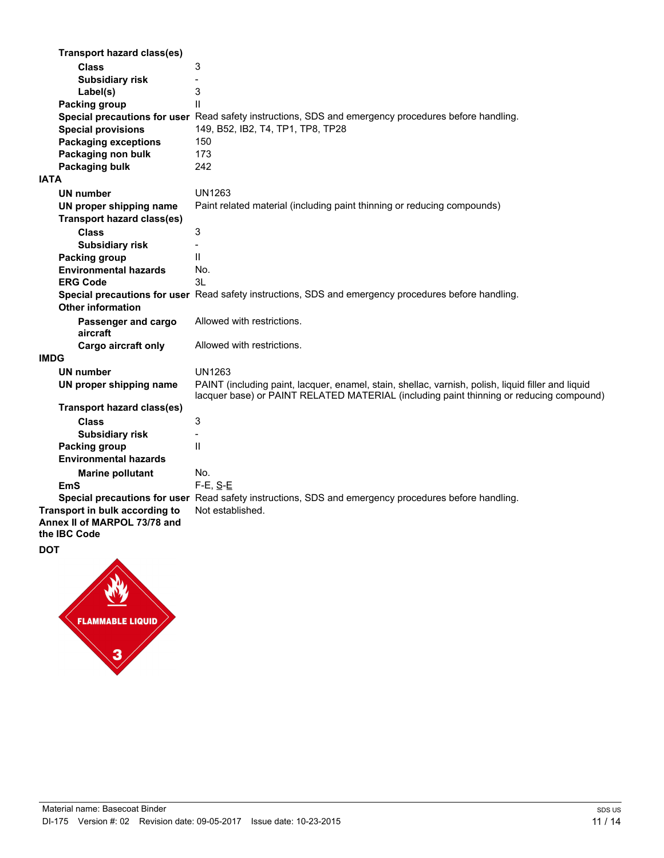| <b>Transport hazard class(es)</b>            |                                                                                                                                                                                               |
|----------------------------------------------|-----------------------------------------------------------------------------------------------------------------------------------------------------------------------------------------------|
| <b>Class</b>                                 | 3                                                                                                                                                                                             |
| <b>Subsidiary risk</b>                       | $\blacksquare$                                                                                                                                                                                |
| Label(s)                                     | 3                                                                                                                                                                                             |
| Packing group                                | $\mathbf{H}$                                                                                                                                                                                  |
|                                              | Special precautions for user Read safety instructions, SDS and emergency procedures before handling.                                                                                          |
| <b>Special provisions</b>                    | 149, B52, IB2, T4, TP1, TP8, TP28                                                                                                                                                             |
| <b>Packaging exceptions</b>                  | 150                                                                                                                                                                                           |
| Packaging non bulk                           | 173                                                                                                                                                                                           |
| Packaging bulk                               | 242                                                                                                                                                                                           |
| <b>IATA</b>                                  |                                                                                                                                                                                               |
| <b>UN number</b>                             | <b>UN1263</b>                                                                                                                                                                                 |
| UN proper shipping name                      | Paint related material (including paint thinning or reducing compounds)                                                                                                                       |
| <b>Transport hazard class(es)</b>            |                                                                                                                                                                                               |
| <b>Class</b>                                 | 3                                                                                                                                                                                             |
| <b>Subsidiary risk</b>                       |                                                                                                                                                                                               |
| Packing group                                | $\mathbf{H}$                                                                                                                                                                                  |
| <b>Environmental hazards</b>                 | No.                                                                                                                                                                                           |
| <b>ERG Code</b>                              | 3L                                                                                                                                                                                            |
| <b>Other information</b>                     | Special precautions for user Read safety instructions, SDS and emergency procedures before handling.                                                                                          |
| Passenger and cargo<br>aircraft              | Allowed with restrictions.                                                                                                                                                                    |
| Cargo aircraft only                          | Allowed with restrictions.                                                                                                                                                                    |
| <b>IMDG</b>                                  |                                                                                                                                                                                               |
| <b>UN number</b>                             | UN1263                                                                                                                                                                                        |
| UN proper shipping name                      | PAINT (including paint, lacquer, enamel, stain, shellac, varnish, polish, liquid filler and liquid<br>lacquer base) or PAINT RELATED MATERIAL (including paint thinning or reducing compound) |
| <b>Transport hazard class(es)</b>            |                                                                                                                                                                                               |
| <b>Class</b>                                 | 3                                                                                                                                                                                             |
| <b>Subsidiary risk</b>                       |                                                                                                                                                                                               |
| Packing group                                | $\mathbf{H}$                                                                                                                                                                                  |
| <b>Environmental hazards</b>                 |                                                                                                                                                                                               |
| <b>Marine pollutant</b>                      | No.                                                                                                                                                                                           |
| EmS                                          | $F-E, S-E$                                                                                                                                                                                    |
|                                              | Special precautions for user Read safety instructions, SDS and emergency procedures before handling.                                                                                          |
| Transport in bulk according to               | Not established.                                                                                                                                                                              |
| Annex II of MARPOL 73/78 and<br>the IBC Code |                                                                                                                                                                                               |

# **DOT**

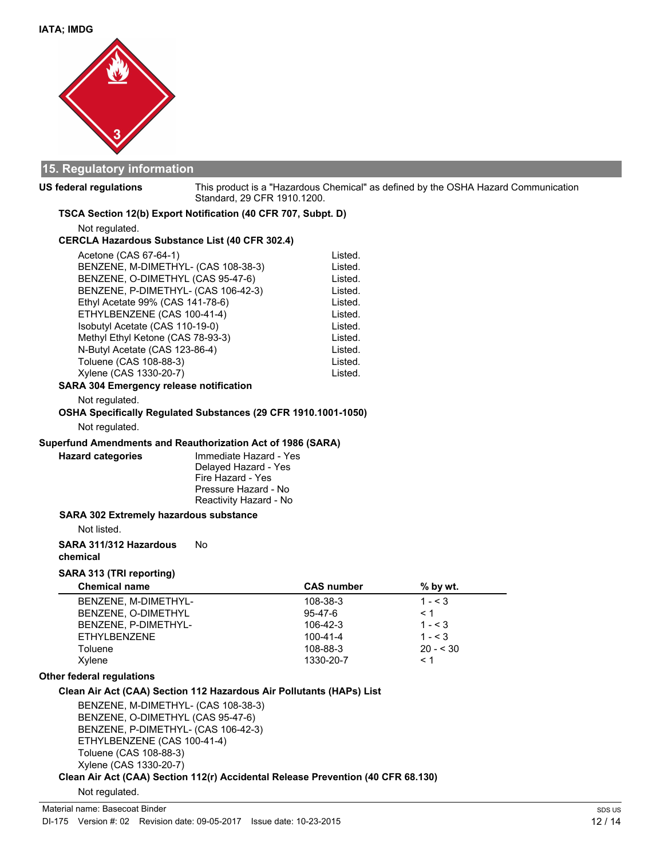

### **15. Regulatory information**

**US federal regulations**

This product is a "Hazardous Chemical" as defined by the OSHA Hazard Communication Standard, 29 CFR 1910.1200.

**TSCA Section 12(b) Export Notification (40 CFR 707, Subpt. D)**

Not regulated.

#### **CERCLA Hazardous Substance List (40 CFR 302.4)**

| Acetone (CAS 67-64-1)               | Listed. |
|-------------------------------------|---------|
| BENZENE, M-DIMETHYL- (CAS 108-38-3) | Listed. |
| BENZENE, O-DIMETHYL (CAS 95-47-6)   | Listed. |
| BENZENE, P-DIMETHYL- (CAS 106-42-3) | Listed. |
| Ethyl Acetate 99% (CAS 141-78-6)    | Listed. |
| ETHYLBENZENE (CAS 100-41-4)         | Listed. |
| Isobutyl Acetate (CAS 110-19-0)     | Listed. |
| Methyl Ethyl Ketone (CAS 78-93-3)   | Listed. |
| N-Butyl Acetate (CAS 123-86-4)      | Listed. |
| Toluene (CAS 108-88-3)              | Listed. |
| Xylene (CAS 1330-20-7)              | Listed. |
|                                     |         |

#### **SARA 304 Emergency release notification**

Not regulated.

## **OSHA Specifically Regulated Substances (29 CFR 1910.1001-1050)** Not regulated.

#### **Superfund Amendments and Reauthorization Act of 1986 (SARA)**

Immediate Hazard - Yes Delayed Hazard - Yes Fire Hazard - Yes Pressure Hazard - No Reactivity Hazard - No

#### **SARA 302 Extremely hazardous substance**

Not listed.

**Hazard categories**

## **SARA 311/312 Hazardous** No

**chemical**

### **SARA 313 (TRI reporting)**

| <b>Chemical name</b> | <b>CAS number</b> | $%$ by wt. |  |
|----------------------|-------------------|------------|--|
| BENZENE, M-DIMETHYL- | 108-38-3          | $1 - 3$    |  |
| BENZENE, O-DIMETHYL  | 95-47-6           | < 1        |  |
| BENZENE, P-DIMETHYL- | $106 - 42 - 3$    | $1 - < 3$  |  |
| <b>ETHYLBENZENE</b>  | $100 - 41 - 4$    | $1 - 3$    |  |
| Toluene              | 108-88-3          | $20 - 530$ |  |
| Xvlene               | 1330-20-7         | $\leq 1$   |  |

### **Other federal regulations**

### **Clean Air Act (CAA) Section 112 Hazardous Air Pollutants (HAPs) List**

BENZENE, M-DIMETHYL- (CAS 108-38-3) BENZENE, O-DIMETHYL (CAS 95-47-6) BENZENE, P-DIMETHYL- (CAS 106-42-3) ETHYLBENZENE (CAS 100-41-4) Toluene (CAS 108-88-3) Xylene (CAS 1330-20-7)

## **Clean Air Act (CAA) Section 112(r) Accidental Release Prevention (40 CFR 68.130)**

### Not regulated.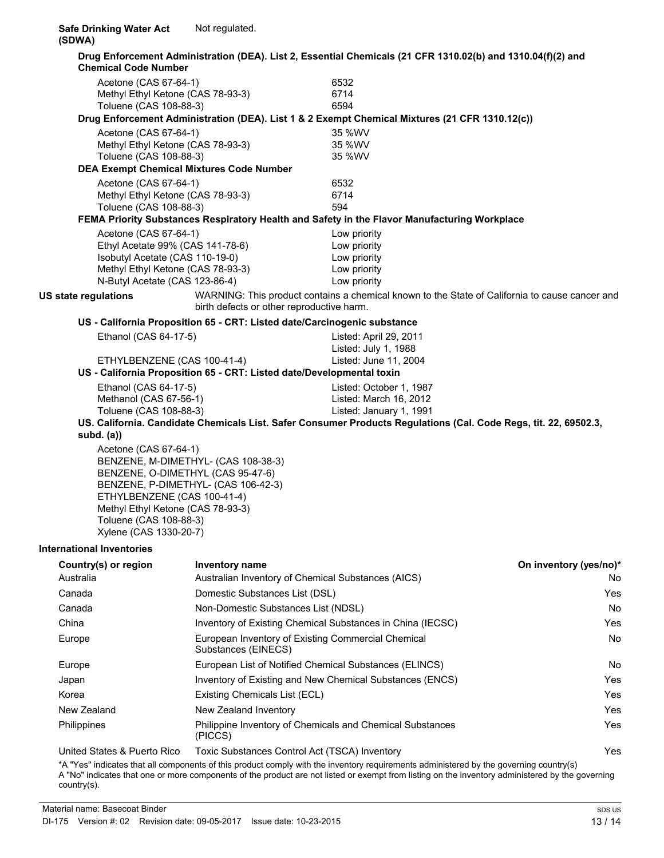| <b>Chemical Code Number</b>         |                                                 | Drug Enforcement Administration (DEA). List 2, Essential Chemicals (21 CFR 1310.02(b) and 1310.04(f)(2) and                                 |                        |
|-------------------------------------|-------------------------------------------------|---------------------------------------------------------------------------------------------------------------------------------------------|------------------------|
| Acetone (CAS 67-64-1)               |                                                 | 6532                                                                                                                                        |                        |
|                                     | Methyl Ethyl Ketone (CAS 78-93-3)               | 6714                                                                                                                                        |                        |
| Toluene (CAS 108-88-3)              |                                                 | 6594                                                                                                                                        |                        |
|                                     |                                                 | Drug Enforcement Administration (DEA). List 1 & 2 Exempt Chemical Mixtures (21 CFR 1310.12(c))                                              |                        |
| Acetone (CAS 67-64-1)               |                                                 | 35 %WV                                                                                                                                      |                        |
|                                     | Methyl Ethyl Ketone (CAS 78-93-3)               | 35 %WV                                                                                                                                      |                        |
| Toluene (CAS 108-88-3)              |                                                 | 35 %WV                                                                                                                                      |                        |
|                                     | <b>DEA Exempt Chemical Mixtures Code Number</b> |                                                                                                                                             |                        |
| Acetone (CAS 67-64-1)               |                                                 | 6532                                                                                                                                        |                        |
|                                     | Methyl Ethyl Ketone (CAS 78-93-3)               | 6714                                                                                                                                        |                        |
| Toluene (CAS 108-88-3)              |                                                 | 594                                                                                                                                         |                        |
|                                     |                                                 | FEMA Priority Substances Respiratory Health and Safety in the Flavor Manufacturing Workplace                                                |                        |
| Acetone (CAS 67-64-1)               |                                                 | Low priority                                                                                                                                |                        |
|                                     | Ethyl Acetate 99% (CAS 141-78-6)                | Low priority                                                                                                                                |                        |
| Isobutyl Acetate (CAS 110-19-0)     |                                                 | Low priority                                                                                                                                |                        |
|                                     | Methyl Ethyl Ketone (CAS 78-93-3)               | Low priority                                                                                                                                |                        |
| N-Butyl Acetate (CAS 123-86-4)      |                                                 | Low priority                                                                                                                                |                        |
| US state regulations                |                                                 | WARNING: This product contains a chemical known to the State of California to cause cancer and<br>birth defects or other reproductive harm. |                        |
|                                     |                                                 | US - California Proposition 65 - CRT: Listed date/Carcinogenic substance                                                                    |                        |
| Ethanol (CAS 64-17-5)               |                                                 | Listed: April 29, 2011                                                                                                                      |                        |
|                                     |                                                 | Listed: July 1, 1988                                                                                                                        |                        |
|                                     | ETHYLBENZENE (CAS 100-41-4)                     | Listed: June 11, 2004                                                                                                                       |                        |
|                                     |                                                 | US - California Proposition 65 - CRT: Listed date/Developmental toxin                                                                       |                        |
| Ethanol (CAS 64-17-5)               |                                                 | Listed: October 1, 1987                                                                                                                     |                        |
| Methanol (CAS 67-56-1)              |                                                 | Listed: March 16, 2012                                                                                                                      |                        |
| Toluene (CAS 108-88-3)              |                                                 | Listed: January 1, 1991                                                                                                                     |                        |
|                                     |                                                 | US. California. Candidate Chemicals List. Safer Consumer Products Regulations (Cal. Code Regs, tit. 22, 69502.3,                            |                        |
| subd. $(a)$                         |                                                 |                                                                                                                                             |                        |
| Acetone (CAS 67-64-1)               |                                                 |                                                                                                                                             |                        |
|                                     | BENZENE, M-DIMETHYL- (CAS 108-38-3)             |                                                                                                                                             |                        |
|                                     | BENZENE, O-DIMETHYL (CAS 95-47-6)               |                                                                                                                                             |                        |
| BENZENE, P-DIMETHYL- (CAS 106-42-3) |                                                 |                                                                                                                                             |                        |
|                                     | ETHYLBENZENE (CAS 100-41-4)                     |                                                                                                                                             |                        |
|                                     | Methyl Ethyl Ketone (CAS 78-93-3)               |                                                                                                                                             |                        |
| Toluene (CAS 108-88-3)              |                                                 |                                                                                                                                             |                        |
| Xylene (CAS 1330-20-7)              |                                                 |                                                                                                                                             |                        |
| <b>International Inventories</b>    |                                                 |                                                                                                                                             |                        |
| Country(s) or region                | <b>Inventory name</b>                           |                                                                                                                                             | On inventory (yes/no)* |
| Australia                           |                                                 | Australian Inventory of Chemical Substances (AICS)                                                                                          | No.                    |
| Canada                              | Domestic Substances List (DSL)                  |                                                                                                                                             | Yes                    |
| Canada                              |                                                 | Non-Domestic Substances List (NDSL)                                                                                                         |                        |
| China                               |                                                 | Inventory of Existing Chemical Substances in China (IECSC)                                                                                  |                        |
| Europe                              |                                                 | European Inventory of Existing Commercial Chemical<br>Substances (EINECS)                                                                   |                        |
| Europe                              |                                                 | European List of Notified Chemical Substances (ELINCS)                                                                                      | No.                    |
| Japan                               |                                                 | Inventory of Existing and New Chemical Substances (ENCS)                                                                                    | Yes                    |
| Korea                               | Existing Chemicals List (ECL)                   |                                                                                                                                             | Yes                    |
| New Zealand                         | New Zealand Inventory                           |                                                                                                                                             | Yes                    |
| Philippines                         | (PICCS)                                         | Philippine Inventory of Chemicals and Chemical Substances                                                                                   | Yes                    |

United States & Puerto Rico Toxic Substances Control Act (TSCA) Inventory Yes

\*A "Yes" indicates that all components of this product comply with the inventory requirements administered by the governing country(s) A "No" indicates that one or more components of the product are not listed or exempt from listing on the inventory administered by the governing country(s).